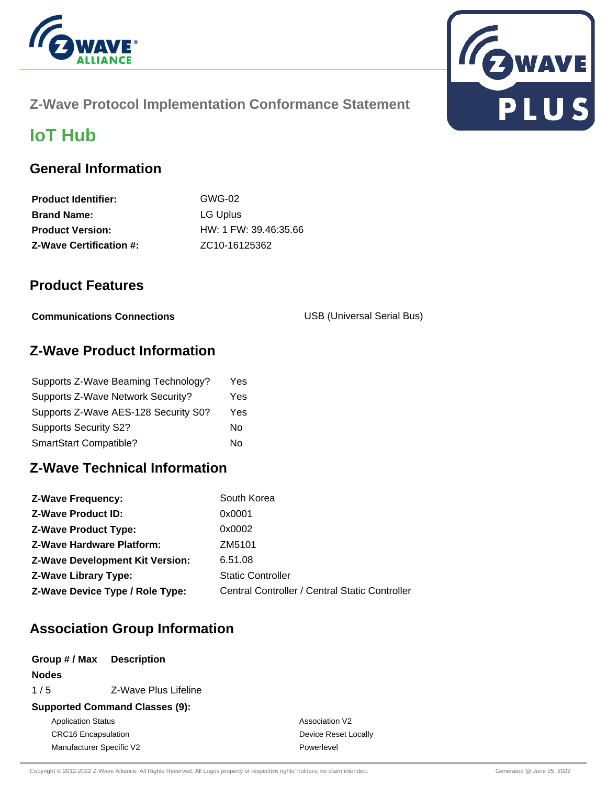

# **Z-Wave Protocol Implementation Conformance Statement**



# **IoT Hub**

### **General Information**

| <b>Product Identifier:</b>     | GWG-02                     |
|--------------------------------|----------------------------|
| <b>Brand Name:</b>             | LG Uplus                   |
| <b>Product Version:</b>        | HW: 1 FW: 39.46:35.66      |
| <b>Z-Wave Certification #:</b> | ZC <sub>10</sub> -16125362 |

#### **Product Features**

**Communications Connections Connections** USB (Universal Serial Bus)

### **Z-Wave Product Information**

| Supports Z-Wave Beaming Technology?  | Yes |
|--------------------------------------|-----|
| Supports Z-Wave Network Security?    | Yes |
| Supports Z-Wave AES-128 Security S0? | Yes |
| <b>Supports Security S2?</b>         | No  |
| SmartStart Compatible?               | No  |

# **Z-Wave Technical Information**

| <b>Z-Wave Frequency:</b>               | South Korea                                    |
|----------------------------------------|------------------------------------------------|
| <b>Z-Wave Product ID:</b>              | 0x0001                                         |
| <b>Z-Wave Product Type:</b>            | 0x0002                                         |
| <b>Z-Wave Hardware Platform:</b>       | ZM5101                                         |
| <b>Z-Wave Development Kit Version:</b> | 6.51.08                                        |
| <b>Z-Wave Library Type:</b>            | <b>Static Controller</b>                       |
| Z-Wave Device Type / Role Type:        | Central Controller / Central Static Controller |

## **Association Group Information**

| Group # / Max              | <b>Description</b>                    |                      |
|----------------------------|---------------------------------------|----------------------|
| <b>Nodes</b>               |                                       |                      |
| 1/5                        | Z-Wave Plus Lifeline                  |                      |
|                            | <b>Supported Command Classes (9):</b> |                      |
| <b>Application Status</b>  |                                       | Association V2       |
| <b>CRC16</b> Encapsulation |                                       | Device Reset Locally |
| Manufacturer Specific V2   |                                       | Powerlevel           |